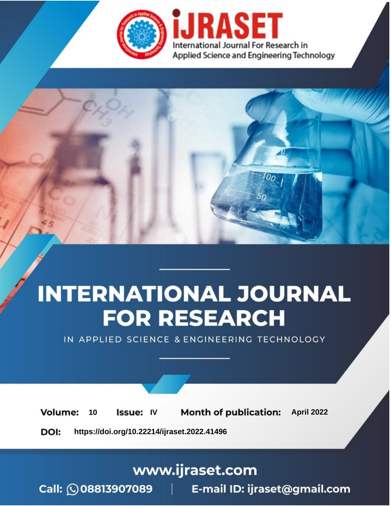

# **INTERNATIONAL JOURNAL FOR RESEARCH**

IN APPLIED SCIENCE & ENGINEERING TECHNOLOGY

10 **Issue: IV Month of publication:** April 2022 **Volume:** 

**https://doi.org/10.22214/ijraset.2022.41496**DOI:

www.ijraset.com

Call: 008813907089 | E-mail ID: ijraset@gmail.com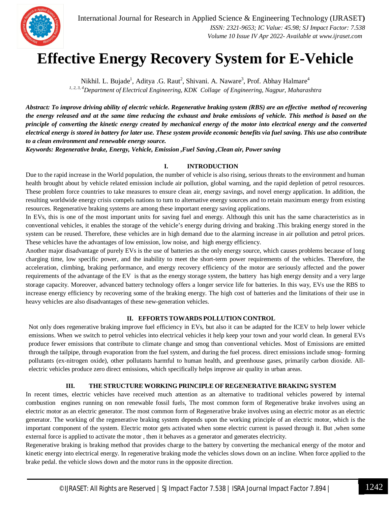

### **Effective Energy Recovery System for E-Vehicle**

Nikhil. L. Bujade<sup>1</sup>, Aditya .G. Raut<sup>2</sup>, Shivani. A. Naware<sup>3</sup>, Prof. Abhay Halmare<sup>4</sup> *1, 2, 3, 4Department of Electrical Engineering, KDK Collage of Engineering, Nagpur, Maharashtra*

*Abstract: To improve driving ability of electric vehicle. Regenerative braking system (RBS) are an effective method of recovering the energy released and at the same time reducing the exhaust and brake emissions of vehicle. This method is based on the principle of converting the kinetic energy created by mechanical energy of the motor into electrical energy and the converted electrical energy is stored in battery for later use. These system provide economic benefits via fuel saving. This use also contribute to a clean environment and renewable energy source.*

*Keywords: Regenerative brake, Energy, Vehicle, Emission ,Fuel Saving ,Clean air, Power saving* 

#### **I. INTRODUCTION**

Due to the rapid increase in the World population, the number of vehicle is also rising, serious threats to the environment and human health brought about by vehicle related emission include air pollution, global warning, and the rapid depletion of petrol resources. These problem force countries to take measures to ensure clean air, energy savings, and novel energy application. In addition, the resulting worldwide energy crisis compels nations to turn to alternative energy sources and to retain maximum energy from existing resources. Regenerative braking systems are among these important energy saving applications.

In EVs, this is one of the most important units for saving fuel and energy. Although this unit has the same characteristics as in conventional vehicles, it enables the storage of the vehicle's energy during driving and braking .This braking energy stored in the system can be reused. Therefore, these vehicles are in high demand due to the alarming increase in air pollution and petrol prices. These vehicles have the advantages of low emission, low noise, and high energy efficiency.

Another major disadvantage of purely EVs is the use of batteries as the only energy source, which causes problems because of long charging time, low specific power, and the inability to meet the short-term power requirements of the vehicles. Therefore, the acceleration, climbing, braking performance, and energy recovery efficiency of the motor are seriously affected and the power requirements of the advantage of the EV is that as the energy storage system, the battery has high energy density and a very large storage capacity. Moreover, advanced battery technology offers a longer service life for batteries. In this way, EVs use the RBS to increase energy efficiency by recovering some of the braking energy. The high cost of batteries and the limitations of their use in heavy vehicles are also disadvantages of these new-generation vehicles.

#### **II. EFFORTS TOWARDS POLLUTION CONTROL**

Not only does regenerative braking improve fuel efficiency in EVs, but also it can be adapted for the ICEV to help lower vehicle emissions. When we switch to petrol vehicles into electrical vehicles it help keep your town and your world clean. In general EVs produce fewer emissions that contribute to climate change and smog than conventional vehicles. Most of Emissions are emitted through the tailpipe, through evaporation from the fuel system, and during the fuel process. direct emissions include smog- forming pollutants (ex-nitrogen oxide), other pollutants harmful to human health, and greenhouse gases, primarily carbon dioxide. Allelectric vehicles produce zero direct emissions, which specifically helps improve air quality in urban areas.

#### **III. THE STRUCTURE WORKING PRINCIPLE OF REGENERATIVE BRAKING SYSTEM**

In recent times, electric vehicles have received much attention as an alternative to traditional vehicles powered by internal combustion engines running on non renewable fossil fuels, The most common form of Regenerative brake involves using an electric motor as an electric generator. The most common form of Regenerative brake involves using an electric motor as an electric generator. The working of the regenerative braking system depends upon the working principle of an electric motor, which is the important component of the system. Electric motor gets activated when some electric current is passed through it. But ,when some external force is applied to activate the motor , then it behaves as a generator and generates electricity.

Regenerative braking is braking method that provides charge to the battery by converting the mechanical energy of the motor and kinetic energy into electrical energy. In regenerative braking mode the vehicles slows down on an incline. When force applied to the brake pedal. the vehicle slows down and the motor runs in the opposite direction.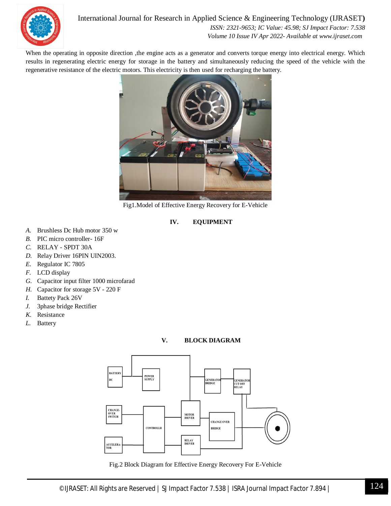

#### International Journal for Research in Applied Science & Engineering Technology (IJRASET**)**  *ISSN: 2321-9653; IC Value: 45.98; SJ Impact Factor: 7.538*

 *Volume 10 Issue IV Apr 2022- Available at www.ijraset.com*

When the operating in opposite direction ,the engine acts as a generator and converts torque energy into electrical energy. Which results in regenerating electric energy for storage in the battery and simultaneously reducing the speed of the vehicle with the regenerative resistance of the electric motors. This electricity is then used for recharging the battery.



Fig1.Model of Effective Energy Recovery for E-Vehicle

#### **IV. EQUIPMENT**

- *A.* Brushless Dc Hub motor 350 w
- *B.* PIC micro controller- 16F
- *C.* RELAY SPDT 30A
- *D.* Relay Driver 16PIN UIN2003.
- *E.* Regulator IC 7805
- *F.* LCD display
- *G.* Capacitor input filter 1000 microfarad
- *H.* Capacitor for storage 5V 220 F
- *I.* Battety Pack 26V
- *J.* 3phase bridge Rectifier
- *K.* Resistance
- *L.* Battery

#### **V. BLOCK DIAGRAM**



Fig.2 Block Diagram for Effective Energy Recovery For E-Vehicle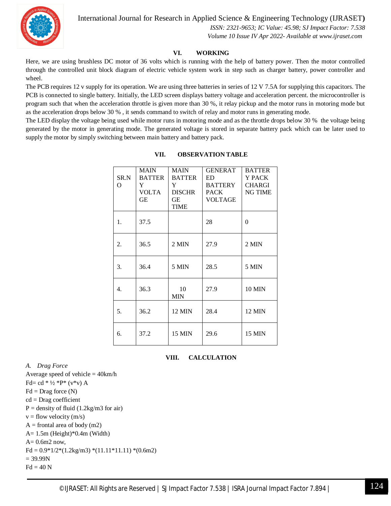International Journal for Research in Applied Science & Engineering Technology (IJRASET**)**

 *ISSN: 2321-9653; IC Value: 45.98; SJ Impact Factor: 7.538 Volume 10 Issue IV Apr 2022- Available at www.ijraset.com*

#### **VI. WORKING**

Here, we are using brushless DC motor of 36 volts which is running with the help of battery power. Then the motor controlled through the controlled unit block diagram of electric vehicle system work in step such as charger battery, power controller and wheel.

The PCB requires 12 v supply for its operation. We are using three batteries in series of 12 V 7.5A for supplying this capacitors. The PCB is connected to single battery. Initially, the LED screen displays battery voltage and acceleration percent. the microcontroller is program such that when the acceleration throttle is given more than 30 %, it relay pickup and the motor runs in motoring mode but as the acceleration drops below 30 % , it sends command to switch of relay and motor runs in generating mode.

The LED display the voltage being used while motor runs in motoring mode and as the throttle drops below 30 % the voltage being generated by the motor in generating mode. The generated voltage is stored in separate battery pack which can be later used to supply the motor by simply switching between main battery and battery pack.

|          | <b>MAIN</b>   | <b>MAIN</b>      | <b>GENERAT</b> | <b>BATTER</b> |
|----------|---------------|------------------|----------------|---------------|
| SR.N     | <b>BATTER</b> | <b>BATTER</b>    | ED.            | Y PACK        |
| $\Omega$ | Y             | Y                | <b>BATTERY</b> | <b>CHARGI</b> |
|          | <b>VOLTA</b>  | <b>DISCHR</b>    | PACK           | NG TIME       |
|          | GЕ            | GE.              | VOLTAGE        |               |
|          |               | <b>TIME</b>      |                |               |
| 1.       | 37.5          |                  | 28             | $\Omega$      |
| 2.       | 36.5          | 2 MIN            | 27.9           | 2 MIN         |
| 3.       | 36.4          | 5 MIN            | 28.5           | 5 MIN         |
| 4.       | 36.3          | 10<br><b>MIN</b> | 27.9           | <b>10 MIN</b> |
| 5.       | 36.2          | 12 MIN           | 28.4           | <b>12 MIN</b> |
| 6.       | 37.2          | 15 MIN           | 29.6           | <b>15 MIN</b> |

#### **VII. OBSERVATION TABLE**

#### **VIII. CALCULATION**

*A. Drag Force*

Average speed of vehicle = 40km/h Fd= cd  $* 1/2 * P* (v * v) A$  $Fd = Drag$  force  $(N)$ cd = Drag coefficient  $P =$  density of fluid (1.2kg/m3 for air)  $v =$  flow velocity (m/s)  $A =$  frontal area of body (m2) A= 1.5m (Height)\*0.4m (Width)  $A= 0.6$ m $2$  now,  $Fd = 0.9*1/2*(1.2kg/m3)*(11.11*11.11)*(0.6m2)$  $= 39.99N$  $Fd = 40 N$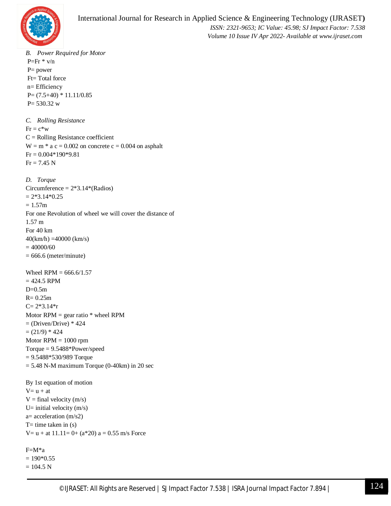

*B. Power Required for Motor*  $P=Fr * v/n$ P= power Ft= Total force n= Efficiency  $P=(7.5+40) * 11.11/0.85$  $P = 530.32$  w *C. Rolling Resistance*  $Fr = c*w$  $C =$  Rolling Resistance coefficient  $W = m * a c = 0.002$  on concrete  $c = 0.004$  on asphalt  $Fr = 0.004*190*9.81$  $Fr = 7.45 N$ *D. Torque*  Circumference  $= 2*3.14*(\text{Radius})$  $= 2*3.14*0.25$  $= 1.57m$ For one Revolution of wheel we will cover the distance of 1.57 m For 40 km 40(km/h) =40000 (km/s)  $= 40000/60$  $= 666.6$  (meter/minute) Wheel  $RPM = 666.6/1.57$  $= 424.5$  RPM  $D=0.5m$  $R = 0.25m$  $C= 2*3.14*$ r Motor  $RPM =$  gear ratio  $*$  wheel  $RPM$  $=$  (Driven/Drive)  $*$  424  $= (21/9) * 424$ Motor  $RPM = 1000$  rpm Torque = 9.5488\*Power/speed = 9.5488\*530/989 Torque  $= 5.48$  N-M maximum Torque (0-40km) in 20 sec By 1st equation of motion  $V = u + at$  $V = final velocity (m/s)$ U= initial velocity  $(m/s)$ a= acceleration (m/s2)  $T=$  time taken in  $(s)$  $V = u + at 11.11 = 0 + (a*20) a = 0.55 m/s$  Force

```
F=M*a 
= 190*0.55= 104.5 N
```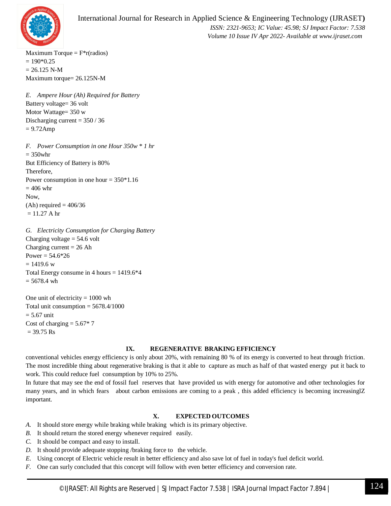

Maximum Torque  $= F^*r(radios)$  $= 190*0.25$  $= 26.125$  N-M Maximum torque= 26.125N-M

*E. Ampere Hour (Ah) Required for Battery* Battery voltage= 36 volt Motor Wattage= 350 w Discharging current  $= 350 / 36$  $= 9.72$ Amp

*F. Power Consumption in one Hour 350w \* 1 hr*   $= 350$ whr But Efficiency of Battery is 80% Therefore, Power consumption in one hour  $= 350*1.16$  $= 406$  whr Now,  $(Ah)$  required = 406/36  $= 11.27$  A hr

*G. Electricity Consumption for Charging Battery*  Charging voltage  $= 54.6$  volt Charging current  $= 26$  Ah Power =  $54.6*26$  $= 1419.6 w$ Total Energy consume in 4 hours = 1419.6\*4  $= 5678.4$  wh

One unit of electricity  $= 1000$  wh Total unit consumption  $= 5678.4/1000$  $= 5.67$  unit Cost of charging  $= 5.67*7$  $= 39.75$  Rs

#### **IX. REGENERATIVE BRAKING EFFICIENCY**

conventional vehicles energy efficiency is only about 20%, with remaining 80 % of its energy is converted to heat through friction. The most incredible thing about regenerative braking is that it able to capture as much as half of that wasted energy put it back to work. This could reduce fuel consumption by 10% to 25%.

In future that may see the end of fossil fuel reserves that have provided us with energy for automotive and other technologies for many years, and in which fears about carbon emissions are coming to a peak, this added efficiency is becoming increasinglZ important.

#### **X. EXPECTED OUTCOMES**

- *A.* It should store energy while braking while braking which is its primary objective.
- *B.* It should return the stored energy whenever required easily.
- *C.* It should be compact and easy to install.
- *D.* It should provide adequate stopping /braking force to the vehicle.
- *E.* Using concept of Electric vehicle result in better efficiency and also save lot of fuel in today's fuel deficit world.
- *F.* One can surly concluded that this concept will follow with even better efficiency and conversion rate.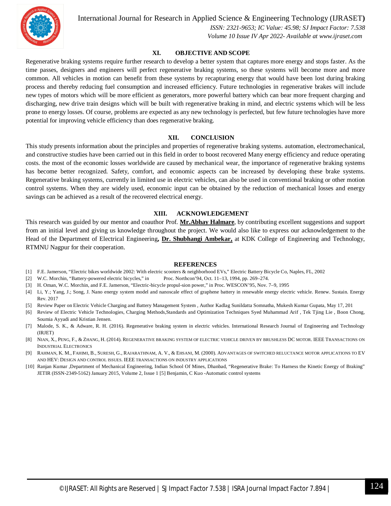

International Journal for Research in Applied Science & Engineering Technology (IJRASET**)**

 *ISSN: 2321-9653; IC Value: 45.98; SJ Impact Factor: 7.538 Volume 10 Issue IV Apr 2022- Available at www.ijraset.com*

#### **XI. OBJECTIVE AND SCOPE**

Regenerative braking systems require further research to develop a better system that captures more energy and stops faster. As the time passes, designers and engineers will perfect regenerative braking systems, so these systems will become more and more common. All vehicles in motion can benefit from these systems by recapturing energy that would have been lost during braking process and thereby reducing fuel consumption and increased efficiency. Future technologies in regenerative brakes will include new types of motors which will be more efficient as generators, more powerful battery which can bear more frequent charging and discharging, new drive train designs which will be built with regenerative braking in mind, and electric systems which will be less prone to energy losses. Of course, problems are expected as any new technology is perfected, but few future technologies have more potential for improving vehicle efficiency than does regenerative braking.

#### **XII. CONCLUSION**

This study presents information about the principles and properties of regenerative braking systems. automation, electromechanical, and constructive studies have been carried out in this field in order to boost recovered Many energy efficiency and reduce operating costs. the most of the economic losses worldwide are caused by mechanical wear, the importance of regenerative braking systems has become better recognized. Safety, comfort, and economic aspects can be increased by developing these brake systems. Regenerative braking systems, currently in limited use in electric vehicles, can also be used in conventional braking or other motion control systems. When they are widely used, economic input can be obtained by the reduction of mechanical losses and energy savings can be achieved as a result of the recovered electrical energy.

#### **XIII. ACKNOWLEDGEMENT**

This research was guided by our mentor and coauthor Prof. **Mr.Abhay Halmare**, by contributing excellent suggestions and support from an initial level and giving us knowledge throughout the project. We would also like to express our acknowledgement to the Head of the Department of Electrical Engineering**, Dr. Shubhangi Ambekar,** at KDK College of Engineering and Technology, RTMNU Nagpur for their cooperation.

#### **REFERENCES**

- [1] F.E. Jamerson, "Electric bikes worldwide 2002: With electric scooters & neighborhood EVs," Electric Battery Bicycle Co, Naples, FL, 2002
- [2] W.C. Morchin, "Battery-powered electric bicycles," in Proc. Northcon'94, Oct. 11–13, 1994, pp. 269–274.
- [3] H. Oman, W.C. Morchin, and F.E. Jamerson, "Electric-bicycle propul-sion power," in Proc. WESCON'95, Nov. 7–9, 1995
- [4] Li, Y.; Yang, J.; Song, J. Nano energy system model and nanoscale effect of graphene battery in renewable energy electric vehicle. Renew. Sustain. Energy Rev. 2017
- [5] Review Paper on Electric Vehicle Charging and Battery Management System , Author Kadlag Sunildatta Somnatha, Mukesh Kumar Gupata, May 17, 201
- [6] Review of Electric Vehicle Technologies, Charging Methods,Standards and Optimization Techniques Syed Muhammad Arif , Tek Tjing Lie , Boon Chong, Soumia Ayyadi and Kristian Jensen.
- [7] Malode, S. K., & Adware, R. H. (2016). Regenerative braking system in electric vehicles. International Research Journal of Engineering and Technology (IRJET)
- [8] NIAN, X., PENG, F., & ZHANG, H. (2014). REGENERATIVE BRAKING SYSTEM OF ELECTRIC VEHICLE DRIVEN BY BRUSHLESS DC MOTOR. IEEE TRANSACTIONS ON INDUSTRIAL ELECTRONICS
- [9] RAHMAN, K. M., FAHIMI, B., SURESH, G., RAJARATHNAM, A. V., & EHSANI, M. (2000). ADVANTAGES OF SWITCHED RELUCTANCE MOTOR APPLICATIONS TO EV AND HEV: DESIGN AND CONTROL ISSUES. IEEE TRANSACTIONS ON INDUSTRY APPLICATIONS
- [10] Ranjan Kumar ,Department of Mechanical Engineering, Indian School Of Mines, Dhanbad, "Regenerative Brake: To Harness the Kinetic Energy of Braking" JETIR (ISSN-2349-5162) January 2015, Volume 2, Issue 1 [5] Benjamin, C Kuo -Automatic control systems